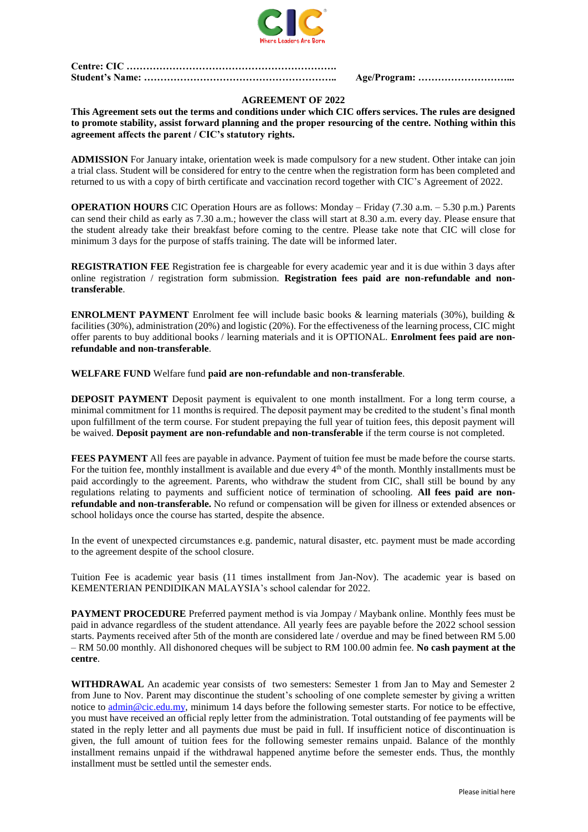

**Centre: CIC ………………………………………………………. Student's Name: ………………………………………………….. Age/Program: ………………………...**

## **AGREEMENT OF 2022**

**This Agreement sets out the terms and conditions under which CIC offers services. The rules are designed to promote stability, assist forward planning and the proper resourcing of the centre. Nothing within this agreement affects the parent / CIC's statutory rights.**

**ADMISSION** For January intake, orientation week is made compulsory for a new student. Other intake can join a trial class. Student will be considered for entry to the centre when the registration form has been completed and returned to us with a copy of birth certificate and vaccination record together with CIC's Agreement of 2022.

**OPERATION HOURS** CIC Operation Hours are as follows: Monday – Friday (7.30 a.m. – 5.30 p.m.) Parents can send their child as early as 7.30 a.m.; however the class will start at 8.30 a.m. every day. Please ensure that the student already take their breakfast before coming to the centre. Please take note that CIC will close for minimum 3 days for the purpose of staffs training. The date will be informed later.

**REGISTRATION FEE** Registration fee is chargeable for every academic year and it is due within 3 days after online registration / registration form submission. **Registration fees paid are non-refundable and nontransferable**.

**ENROLMENT PAYMENT** Enrolment fee will include basic books & learning materials (30%), building & facilities (30%), administration (20%) and logistic (20%). For the effectiveness of the learning process, CIC might offer parents to buy additional books / learning materials and it is OPTIONAL. **Enrolment fees paid are nonrefundable and non-transferable**.

**WELFARE FUND** Welfare fund **paid are non-refundable and non-transferable**.

**DEPOSIT PAYMENT** Deposit payment is equivalent to one month installment. For a long term course, a minimal commitment for 11 months is required. The deposit payment may be credited to the student's final month upon fulfillment of the term course. For student prepaying the full year of tuition fees, this deposit payment will be waived. **Deposit payment are non-refundable and non-transferable** if the term course is not completed.

**FEES PAYMENT** All fees are payable in advance. Payment of tuition fee must be made before the course starts. For the tuition fee, monthly installment is available and due every 4<sup>th</sup> of the month. Monthly installments must be paid accordingly to the agreement. Parents, who withdraw the student from CIC, shall still be bound by any regulations relating to payments and sufficient notice of termination of schooling. **All fees paid are nonrefundable and non-transferable.** No refund or compensation will be given for illness or extended absences or school holidays once the course has started, despite the absence.

In the event of unexpected circumstances e.g. pandemic, natural disaster, etc. payment must be made according to the agreement despite of the school closure.

Tuition Fee is academic year basis (11 times installment from Jan-Nov). The academic year is based on KEMENTERIAN PENDIDIKAN MALAYSIA's school calendar for 2022.

**PAYMENT PROCEDURE** Preferred payment method is via Jompay / Maybank online. Monthly fees must be paid in advance regardless of the student attendance. All yearly fees are payable before the 2022 school session starts. Payments received after 5th of the month are considered late / overdue and may be fined between RM 5.00 – RM 50.00 monthly. All dishonored cheques will be subject to RM 100.00 admin fee. **No cash payment at the centre**.

**WITHDRAWAL** An academic year consists of two semesters: Semester 1 from Jan to May and Semester 2 from June to Nov. Parent may discontinue the student's schooling of one complete semester by giving a written notice to [admin@cic.edu.my,](mailto:admin@cic.edu.my) minimum 14 days before the following semester starts. For notice to be effective, you must have received an official reply letter from the administration. Total outstanding of fee payments will be stated in the reply letter and all payments due must be paid in full. If insufficient notice of discontinuation is given, the full amount of tuition fees for the following semester remains unpaid. Balance of the monthly installment remains unpaid if the withdrawal happened anytime before the semester ends. Thus, the monthly installment must be settled until the semester ends.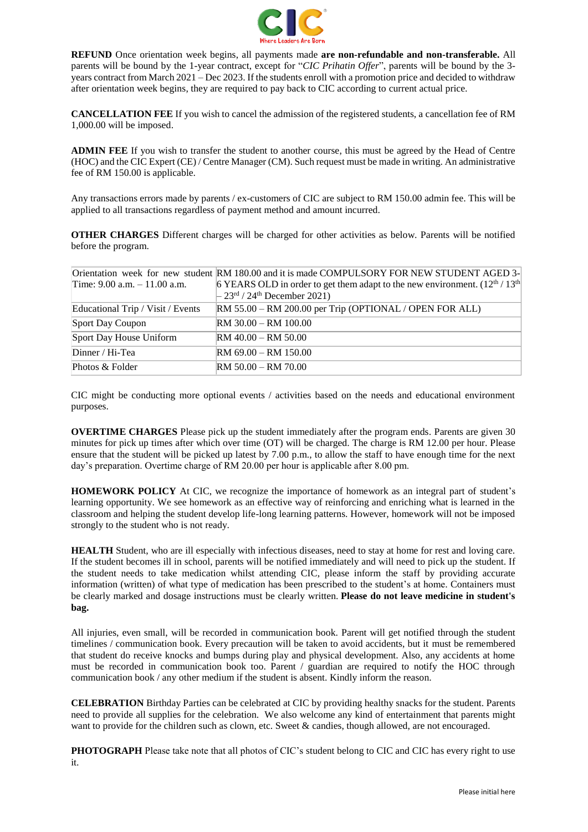

**REFUND** Once orientation week begins, all payments made **are non-refundable and non-transferable.** All parents will be bound by the 1-year contract, except for "*CIC Prihatin Offer*", parents will be bound by the 3 years contract from March 2021 – Dec 2023. If the students enroll with a promotion price and decided to withdraw after orientation week begins, they are required to pay back to CIC according to current actual price.

**CANCELLATION FEE** If you wish to cancel the admission of the registered students, a cancellation fee of RM 1,000.00 will be imposed.

**ADMIN FEE** If you wish to transfer the student to another course, this must be agreed by the Head of Centre (HOC) and the CIC Expert (CE) / Centre Manager (CM). Such request must be made in writing. An administrative fee of RM 150.00 is applicable.

Any transactions errors made by parents / ex-customers of CIC are subject to RM 150.00 admin fee. This will be applied to all transactions regardless of payment method and amount incurred.

**OTHER CHARGES** Different charges will be charged for other activities as below. Parents will be notified before the program.

|                                   | Orientation week for new student RM 180.00 and it is made COMPULSORY FOR NEW STUDENT AGED 3- |
|-----------------------------------|----------------------------------------------------------------------------------------------|
| Time: $9.00$ a.m. $-11.00$ a.m.   | 6 YEARS OLD in order to get them adapt to the new environment. $(12^{th}/13^{th})$           |
|                                   | $-23^{\text{rd}}$ / 24 <sup>th</sup> December 2021)                                          |
| Educational Trip / Visit / Events | $RM 55.00 - RM 200.00$ per Trip (OPTIONAL / OPEN FOR ALL)                                    |
| Sport Day Coupon                  | $RM$ 30.00 – RM 100.00                                                                       |
| Sport Day House Uniform           | $RM$ 40.00 – RM 50.00                                                                        |
| Dinner / Hi-Tea                   | $RM$ 69.00 – RM 150.00                                                                       |
| Photos & Folder                   | $RM 50.00 - RM 70.00$                                                                        |
|                                   |                                                                                              |

CIC might be conducting more optional events / activities based on the needs and educational environment purposes.

**OVERTIME CHARGES** Please pick up the student immediately after the program ends. Parents are given 30 minutes for pick up times after which over time (OT) will be charged. The charge is RM 12.00 per hour. Please ensure that the student will be picked up latest by 7.00 p.m., to allow the staff to have enough time for the next day's preparation. Overtime charge of RM 20.00 per hour is applicable after 8.00 pm.

**HOMEWORK POLICY** At CIC, we recognize the importance of homework as an integral part of student's learning opportunity. We see homework as an effective way of reinforcing and enriching what is learned in the classroom and helping the student develop life-long learning patterns. However, homework will not be imposed strongly to the student who is not ready.

**HEALTH** Student, who are ill especially with infectious diseases, need to stay at home for rest and loving care. If the student becomes ill in school, parents will be notified immediately and will need to pick up the student. If the student needs to take medication whilst attending CIC, please inform the staff by providing accurate information (written) of what type of medication has been prescribed to the student's at home. Containers must be clearly marked and dosage instructions must be clearly written. **Please do not leave medicine in student's bag.** 

All injuries, even small, will be recorded in communication book. Parent will get notified through the student timelines / communication book. Every precaution will be taken to avoid accidents, but it must be remembered that student do receive knocks and bumps during play and physical development. Also, any accidents at home must be recorded in communication book too. Parent / guardian are required to notify the HOC through communication book / any other medium if the student is absent. Kindly inform the reason.

**CELEBRATION** Birthday Parties can be celebrated at CIC by providing healthy snacks for the student. Parents need to provide all supplies for the celebration. We also welcome any kind of entertainment that parents might want to provide for the children such as clown, etc. Sweet & candies, though allowed, are not encouraged.

**PHOTOGRAPH** Please take note that all photos of CIC's student belong to CIC and CIC has every right to use it.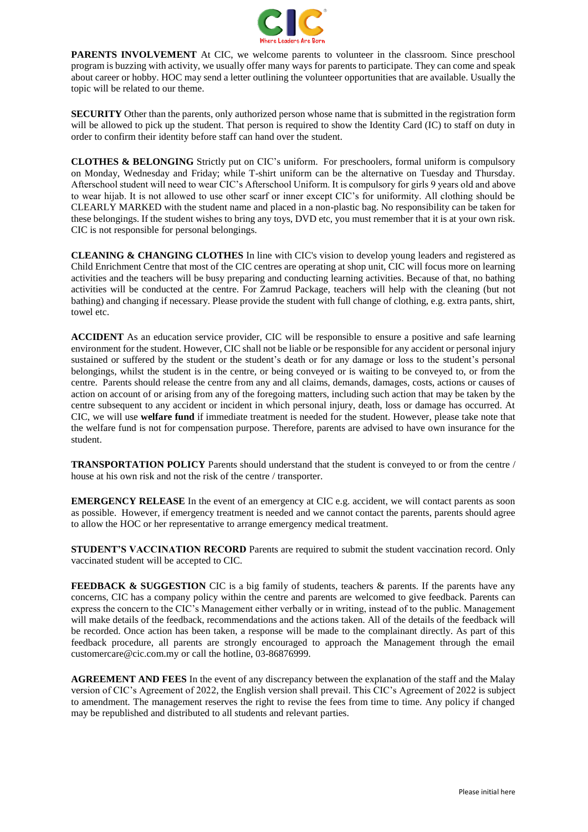

PARENTS INVOLVEMENT At CIC, we welcome parents to volunteer in the classroom. Since preschool program is buzzing with activity, we usually offer many ways for parents to participate. They can come and speak about career or hobby. HOC may send a letter outlining the volunteer opportunities that are available. Usually the topic will be related to our theme.

**SECURITY** Other than the parents, only authorized person whose name that is submitted in the registration form will be allowed to pick up the student. That person is required to show the Identity Card (IC) to staff on duty in order to confirm their identity before staff can hand over the student.

**CLOTHES & BELONGING** Strictly put on CIC's uniform. For preschoolers, formal uniform is compulsory on Monday, Wednesday and Friday; while T-shirt uniform can be the alternative on Tuesday and Thursday. Afterschool student will need to wear CIC's Afterschool Uniform. It is compulsory for girls 9 years old and above to wear hijab. It is not allowed to use other scarf or inner except CIC's for uniformity. All clothing should be CLEARLY MARKED with the student name and placed in a non-plastic bag. No responsibility can be taken for these belongings. If the student wishes to bring any toys, DVD etc, you must remember that it is at your own risk. CIC is not responsible for personal belongings.

**CLEANING & CHANGING CLOTHES** In line with CIC's vision to develop young leaders and registered as Child Enrichment Centre that most of the CIC centres are operating at shop unit, CIC will focus more on learning activities and the teachers will be busy preparing and conducting learning activities. Because of that, no bathing activities will be conducted at the centre. For Zamrud Package, teachers will help with the cleaning (but not bathing) and changing if necessary. Please provide the student with full change of clothing, e.g. extra pants, shirt, towel etc.

**ACCIDENT** As an education service provider, CIC will be responsible to ensure a positive and safe learning environment for the student. However, CIC shall not be liable or be responsible for any accident or personal injury sustained or suffered by the student or the student's death or for any damage or loss to the student's personal belongings, whilst the student is in the centre, or being conveyed or is waiting to be conveyed to, or from the centre. Parents should release the centre from any and all claims, demands, damages, costs, actions or causes of action on account of or arising from any of the foregoing matters, including such action that may be taken by the centre subsequent to any accident or incident in which personal injury, death, loss or damage has occurred. At CIC, we will use **welfare fund** if immediate treatment is needed for the student. However, please take note that the welfare fund is not for compensation purpose. Therefore, parents are advised to have own insurance for the student.

**TRANSPORTATION POLICY** Parents should understand that the student is conveyed to or from the centre / house at his own risk and not the risk of the centre / transporter.

**EMERGENCY RELEASE** In the event of an emergency at CIC e.g. accident, we will contact parents as soon as possible. However, if emergency treatment is needed and we cannot contact the parents, parents should agree to allow the HOC or her representative to arrange emergency medical treatment.

**STUDENT'S VACCINATION RECORD** Parents are required to submit the student vaccination record. Only vaccinated student will be accepted to CIC.

**FEEDBACK & SUGGESTION** CIC is a big family of students, teachers & parents. If the parents have any concerns, CIC has a company policy within the centre and parents are welcomed to give feedback. Parents can express the concern to the CIC's Management either verbally or in writing, instead of to the public. Management will make details of the feedback, recommendations and the actions taken. All of the details of the feedback will be recorded. Once action has been taken, a response will be made to the complainant directly. As part of this feedback procedure, all parents are strongly encouraged to approach the Management through the email customercare@cic.com.my or call the hotline, 03-86876999.

**AGREEMENT AND FEES** In the event of any discrepancy between the explanation of the staff and the Malay version of CIC's Agreement of 2022, the English version shall prevail. This CIC's Agreement of 2022 is subject to amendment. The management reserves the right to revise the fees from time to time. Any policy if changed may be republished and distributed to all students and relevant parties.